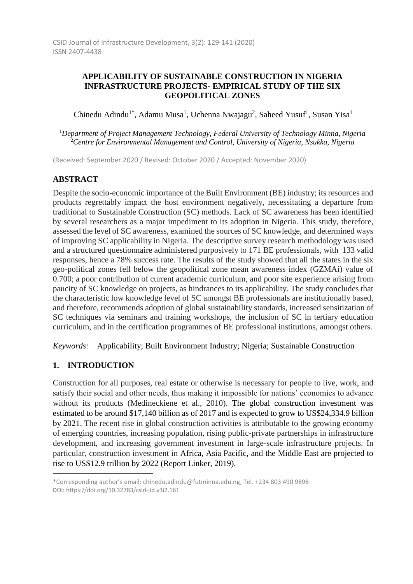## **APPLICABILITY OF SUSTAINABLE CONSTRUCTION IN NIGERIA INFRASTRUCTURE PROJECTS- EMPIRICAL STUDY OF THE SIX GEOPOLITICAL ZONES**

Chinedu Adindu<sup>1\*</sup>, Adamu Musa<sup>1</sup>, Uchenna Nwajagu<sup>2</sup>, Saheed Yusuf<sup>1</sup>, Susan Yisa<sup>1</sup>

<sup>1</sup>*Department of Project Management Technology, Federal University of Technology Minna, Nigeria*  <sup>2</sup>*Centre for Environmental Management and Control, University of Nigeria, Nsukka, Nigeria*

(Received: September 2020 / Revised: October 2020 / Accepted: November 2020)

## **ABSTRACT**

Despite the socio-economic importance of the Built Environment (BE) industry; its resources and products regrettably impact the host environment negatively, necessitating a departure from traditional to Sustainable Construction (SC) methods. Lack of SC awareness has been identified by several researchers as a major impediment to its adoption in Nigeria. This study, therefore, assessed the level of SC awareness, examined the sources of SC knowledge, and determined ways of improving SC applicability in Nigeria. The descriptive survey research methodology was used and a structured questionnaire administered purposively to 171 BE professionals, with 133 valid responses, hence a 78% success rate. The results of the study showed that all the states in the six geo-political zones fell below the geopolitical zone mean awareness index (GZMAi) value of 0.700; a poor contribution of current academic curriculum, and poor site experience arising from paucity of SC knowledge on projects, as hindrances to its applicability. The study concludes that the characteristic low knowledge level of SC amongst BE professionals are institutionally based, and therefore, recommends adoption of global sustainability standards, increased sensitization of SC techniques via seminars and training workshops, the inclusion of SC in tertiary education curriculum, and in the certification programmes of BE professional institutions, amongst others.

*Keywords:* Applicability; Built Environment Industry; Nigeria; Sustainable Construction

# **1. INTRODUCTION**

 $\overline{a}$ 

Construction for all purposes, real estate or otherwise is necessary for people to live, work, and satisfy their social and other needs, thus making it impossible for nations' economies to advance without its products (Medineckiene et al., 2010). The global construction investment was estimated to be around \$17,140 billion as of 2017 and is expected to grow to US\$24,334.9 billion by 2021. The recent rise in global construction activities is attributable to the growing economy of emerging countries, increasing population, rising public-private partnerships in infrastructure development, and increasing government investment in large-scale infrastructure projects. In particular, construction investment in Africa, Asia Pacific, and the Middle East are projected to rise to US\$12.9 trillion by 2022 (Report Linker, 2019).

<sup>\*</sup>Corresponding author's email: chinedu.adindu@futminna.edu.ng, Tel. +234 803 490 9898 DOI: https://doi.org/10.32783/csid-jid.v3i2.161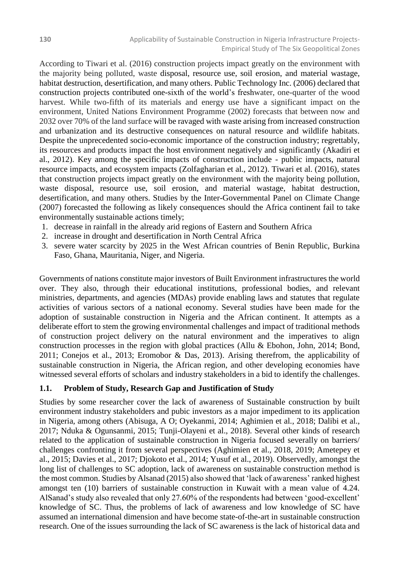According to Tiwari et al. (2016) construction projects impact greatly on the environment with the majority being polluted, waste disposal, resource use, soil erosion, and material wastage, habitat destruction, desertification, and many others. Public Technology Inc. (2006) declared that construction projects contributed one-sixth of the world's freshwater, one-quarter of the wood harvest. While two-fifth of its materials and energy use have a significant impact on the environment, United Nations Environment Programme (2002) forecasts that between now and 2032 over 70% of the land surface will be ravaged with waste arising from increased construction and urbanization and its destructive consequences on natural resource and wildlife habitats. Despite the unprecedented socio-economic importance of the construction industry; regrettably, its resources and products impact the host environment negatively and significantly (Akadiri et al., 2012). Key among the specific impacts of construction include - public impacts, natural resource impacts, and ecosystem impacts (Zolfagharian et al., 2012). Tiwari et al. (2016), states that construction projects impact greatly on the environment with the majority being pollution, waste disposal, resource use, soil erosion, and material wastage, habitat destruction, desertification, and many others. Studies by the Inter-Governmental Panel on Climate Change (2007) forecasted the following as likely consequences should the Africa continent fail to take environmentally sustainable actions timely;

- 1. decrease in rainfall in the already arid regions of Eastern and Southern Africa
- 2. increase in drought and desertification in North Central Africa
- 3. severe water scarcity by 2025 in the West African countries of Benin Republic, Burkina Faso, Ghana, Mauritania, Niger, and Nigeria.

Governments of nations constitute major investors of Built Environment infrastructures the world over. They also, through their educational institutions, professional bodies, and relevant ministries, departments, and agencies (MDAs) provide enabling laws and statutes that regulate activities of various sectors of a national economy. Several studies have been made for the adoption of sustainable construction in Nigeria and the African continent. It attempts as a deliberate effort to stem the growing environmental challenges and impact of traditional methods of construction project delivery on the natural environment and the imperatives to align construction processes in the region with global practices (Allu & Ebohon, John, 2014; Bond, 2011; Conejos et al., 2013; Eromobor & Das, 2013). Arising therefrom, the applicability of sustainable construction in Nigeria, the African region, and other developing economies have witnessed several efforts of scholars and industry stakeholders in a bid to identify the challenges.

#### **1.1. Problem of Study, Research Gap and Justification of Study**

Studies by some researcher cover the lack of awareness of Sustainable construction by built environment industry stakeholders and pubic investors as a major impediment to its application in Nigeria, among others (Abisuga, A O; Oyekanmi, 2014; Aghimien et al., 2018; Dalibi et al., 2017; Nduka & Ogunsanmi, 2015; Tunji-Olayeni et al., 2018). Several other kinds of research related to the application of sustainable construction in Nigeria focused severally on barriers/ challenges confronting it from several perspectives (Aghimien et al., 2018, 2019; Ametepey et al., 2015; Davies et al., 2017; Djokoto et al., 2014; Yusuf et al., 2019). Observedly, amongst the long list of challenges to SC adoption, lack of awareness on sustainable construction method is the most common. Studies by Alsanad (2015) also showed that 'lack of awareness' ranked highest amongst ten (10) barriers of sustainable construction in Kuwait with a mean value of 4.24. AlSanad's study also revealed that only 27.60% of the respondents had between 'good-excellent' knowledge of SC. Thus, the problems of lack of awareness and low knowledge of SC have assumed an international dimension and have become state-of-the-art in sustainable construction research. One of the issues surrounding the lack of SC awareness is the lack of historical data and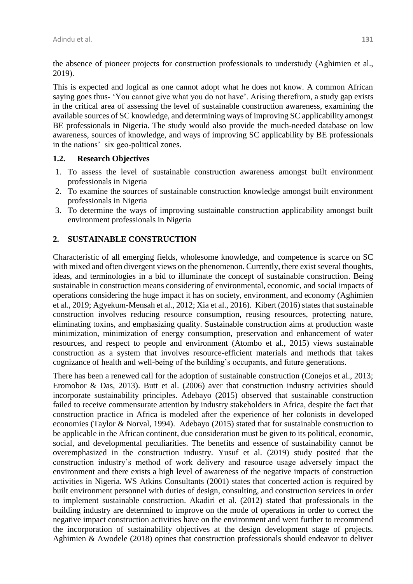the absence of pioneer projects for construction professionals to understudy (Aghimien et al., 2019).

This is expected and logical as one cannot adopt what he does not know. A common African saying goes thus- 'You cannot give what you do not have'. Arising therefrom, a study gap exists in the critical area of assessing the level of sustainable construction awareness, examining the available sources of SC knowledge, and determining ways of improving SC applicability amongst BE professionals in Nigeria. The study would also provide the much-needed database on low awareness, sources of knowledge, and ways of improving SC applicability by BE professionals in the nations' six geo-political zones.

### **1.2. Research Objectives**

- 1. To assess the level of sustainable construction awareness amongst built environment professionals in Nigeria
- 2. To examine the sources of sustainable construction knowledge amongst built environment professionals in Nigeria
- 3. To determine the ways of improving sustainable construction applicability amongst built environment professionals in Nigeria

## **2. SUSTAINABLE CONSTRUCTION**

Characteristic of all emerging fields, wholesome knowledge, and competence is scarce on SC with mixed and often divergent views on the phenomenon. Currently, there exist several thoughts, ideas, and terminologies in a bid to illuminate the concept of sustainable construction. Being sustainable in construction means considering of environmental, economic, and social impacts of operations considering the huge impact it has on society, environment, and economy (Aghimien et al., 2019; Agyekum-Mensah et al., 2012; Xia et al., 2016). Kibert (2016) states that sustainable construction involves reducing resource consumption, reusing resources, protecting nature, eliminating toxins, and emphasizing quality. Sustainable construction aims at production waste minimization, minimization of energy consumption, preservation and enhancement of water resources, and respect to people and environment (Atombo et al., 2015) views sustainable construction as a system that involves resource-efficient materials and methods that takes cognizance of health and well-being of the building's occupants, and future generations.

There has been a renewed call for the adoption of sustainable construction (Conejos et al., 2013; Eromobor & Das, 2013). Butt et al. (2006) aver that construction industry activities should incorporate sustainability principles. Adebayo (2015) observed that sustainable construction failed to receive commensurate attention by industry stakeholders in Africa, despite the fact that construction practice in Africa is modeled after the experience of her colonists in developed economies (Taylor & Norval, 1994). Adebayo (2015) stated that for sustainable construction to be applicable in the African continent, due consideration must be given to its political, economic, social, and developmental peculiarities. The benefits and essence of sustainability cannot be overemphasized in the construction industry. Yusuf et al. (2019) study posited that the construction industry's method of work delivery and resource usage adversely impact the environment and there exists a high level of awareness of the negative impacts of construction activities in Nigeria. WS Atkins Consultants (2001) states that concerted action is required by built environment personnel with duties of design, consulting, and construction services in order to implement sustainable construction. Akadiri et al. (2012) stated that professionals in the building industry are determined to improve on the mode of operations in order to correct the negative impact construction activities have on the environment and went further to recommend the incorporation of sustainability objectives at the design development stage of projects. Aghimien & Awodele (2018) opines that construction professionals should endeavor to deliver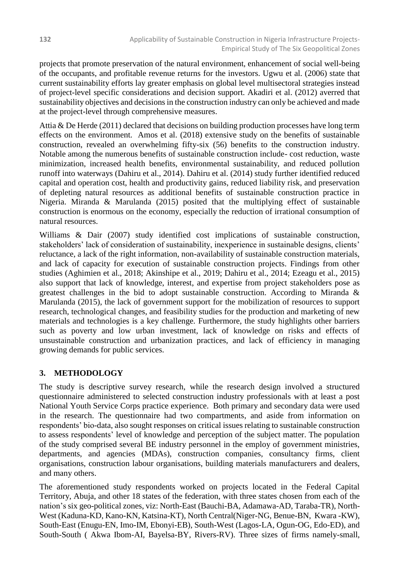projects that promote preservation of the natural environment, enhancement of social well-being of the occupants, and profitable revenue returns for the investors. Ugwu et al. (2006) state that current sustainability efforts lay greater emphasis on global level multisectoral strategies instead of project-level specific considerations and decision support. Akadiri et al. (2012) averred that sustainability objectives and decisions in the construction industry can only be achieved and made at the project-level through comprehensive measures.

Attia & De Herde (2011) declared that decisions on building production processes have long term effects on the environment. Amos et al. (2018) extensive study on the benefits of sustainable construction, revealed an overwhelming fifty-six (56) benefits to the construction industry. Notable among the numerous benefits of sustainable construction include- cost reduction, waste minimization, increased health benefits, environmental sustainability, and reduced pollution runoff into waterways (Dahiru et al., 2014). Dahiru et al. (2014) study further identified reduced capital and operation cost, health and productivity gains, reduced liability risk, and preservation of depleting natural resources as additional benefits of sustainable construction practice in Nigeria. Miranda & Marulanda (2015) posited that the multiplying effect of sustainable construction is enormous on the economy, especially the reduction of irrational consumption of natural resources.

Williams & Dair (2007) study identified cost implications of sustainable construction, stakeholders' lack of consideration of sustainability, inexperience in sustainable designs, clients' reluctance, a lack of the right information, non-availability of sustainable construction materials, and lack of capacity for execution of sustainable construction projects. Findings from other studies (Aghimien et al., 2018; Akinshipe et al., 2019; Dahiru et al., 2014; Ezeagu et al., 2015) also support that lack of knowledge, interest, and expertise from project stakeholders pose as greatest challenges in the bid to adopt sustainable construction. According to Miranda & Marulanda (2015), the lack of government support for the mobilization of resources to support research, technological changes, and feasibility studies for the production and marketing of new materials and technologies is a key challenge. Furthermore, the study highlights other barriers such as poverty and low urban investment, lack of knowledge on risks and effects of unsustainable construction and urbanization practices, and lack of efficiency in managing growing demands for public services.

## **3. METHODOLOGY**

The study is descriptive survey research, while the research design involved a structured questionnaire administered to selected construction industry professionals with at least a post National Youth Service Corps practice experience. Both primary and secondary data were used in the research. The questionnaire had two compartments, and aside from information on respondents' bio-data, also sought responses on critical issues relating to sustainable construction to assess respondents' level of knowledge and perception of the subject matter. The population of the study comprised several BE industry personnel in the employ of government ministries, departments, and agencies (MDAs), construction companies, consultancy firms, client organisations, construction labour organisations, building materials manufacturers and dealers, and many others.

The aforementioned study respondents worked on projects located in the Federal Capital Territory, Abuja, and other 18 states of the federation, with three states chosen from each of the nation's six geo-political zones, viz: North-East (Bauchi-BA, Adamawa-AD, Taraba-TR), North-West (Kaduna-KD, Kano-KN, Katsina-KT), North Central(Niger-NG, Benue-BN, Kwara -KW), South-East (Enugu-EN, Imo-IM, Ebonyi-EB), South-West (Lagos-LA, Ogun-OG, Edo-ED), and South-South ( Akwa Ibom-AI, Bayelsa-BY, Rivers-RV). Three sizes of firms namely-small,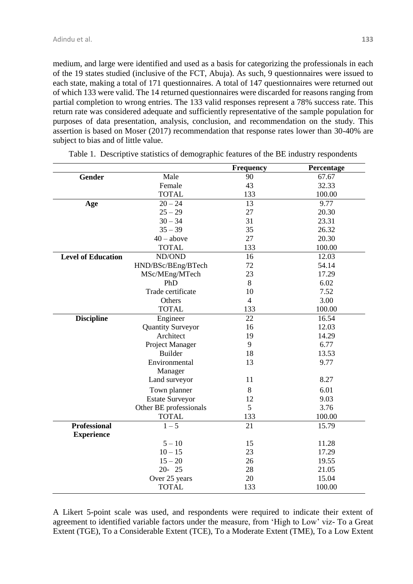medium, and large were identified and used as a basis for categorizing the professionals in each of the 19 states studied (inclusive of the FCT, Abuja). As such, 9 questionnaires were issued to each state, making a total of 171 questionnaires. A total of 147 questionnaires were returned out of which 133 were valid. The 14 returned questionnaires were discarded for reasons ranging from partial completion to wrong entries. The 133 valid responses represent a 78% success rate. This return rate was considered adequate and sufficiently representative of the sample population for purposes of data presentation, analysis, conclusion, and recommendation on the study. This assertion is based on Moser (2017) recommendation that response rates lower than 30-40% are subject to bias and of little value.

|                           |                          | <b>Frequency</b> | Percentage |  |  |
|---------------------------|--------------------------|------------------|------------|--|--|
| <b>Gender</b>             | Male                     | 90               | 67.67      |  |  |
|                           | Female                   | 43               | 32.33      |  |  |
|                           | <b>TOTAL</b>             | 133              | 100.00     |  |  |
| Age                       | $20 - 24$                | 13               | 9.77       |  |  |
|                           | $25 - 29$                | 27               | 20.30      |  |  |
|                           | $30 - 34$                | 31               | 23.31      |  |  |
|                           | $35 - 39$                | 35               | 26.32      |  |  |
|                           | $40 - above$             | 27               | 20.30      |  |  |
|                           | <b>TOTAL</b>             | 133              | 100.00     |  |  |
| <b>Level of Education</b> | ND/OND                   | 16               | 12.03      |  |  |
|                           | HND/BSc/BEng/BTech       | 72               | 54.14      |  |  |
|                           | MSc/MEng/MTech           | 23               | 17.29      |  |  |
|                           | PhD                      | 8                | 6.02       |  |  |
|                           | Trade certificate        | 10               | 7.52       |  |  |
|                           | Others                   | $\overline{4}$   | 3.00       |  |  |
|                           | <b>TOTAL</b>             | 133              | 100.00     |  |  |
| <b>Discipline</b>         | Engineer                 | 22               | 16.54      |  |  |
|                           | <b>Quantity Surveyor</b> | 16               | 12.03      |  |  |
|                           | Architect                | 19               | 14.29      |  |  |
|                           | Project Manager          | 9                | 6.77       |  |  |
|                           | <b>Builder</b>           | 18               | 13.53      |  |  |
|                           | Environmental            | 13               | 9.77       |  |  |
|                           | Manager                  |                  |            |  |  |
|                           | Land surveyor            | 11               | 8.27       |  |  |
|                           | Town planner             | 8                | 6.01       |  |  |
|                           | <b>Estate Surveyor</b>   | 12               | 9.03       |  |  |
|                           | Other BE professionals   | 5                | 3.76       |  |  |
|                           | <b>TOTAL</b>             | 133              | 100.00     |  |  |
| <b>Professional</b>       | $1 - 5$                  | 21               | 15.79      |  |  |
| <b>Experience</b>         |                          |                  |            |  |  |
|                           | $5 - 10$                 | 15               | 11.28      |  |  |
|                           | $10 - 15$                | 23               | 17.29      |  |  |
|                           | $15 - 20$                | 26               | 19.55      |  |  |
|                           | $20 - 25$                | 28               | 21.05      |  |  |
|                           | Over 25 years            | 20               | 15.04      |  |  |
|                           | <b>TOTAL</b>             | 133              | 100.00     |  |  |

Table 1. Descriptive statistics of demographic features of the BE industry respondents

A Likert 5-point scale was used, and respondents were required to indicate their extent of agreement to identified variable factors under the measure, from 'High to Low' viz- To a Great Extent (TGE), To a Considerable Extent (TCE), To a Moderate Extent (TME), To a Low Extent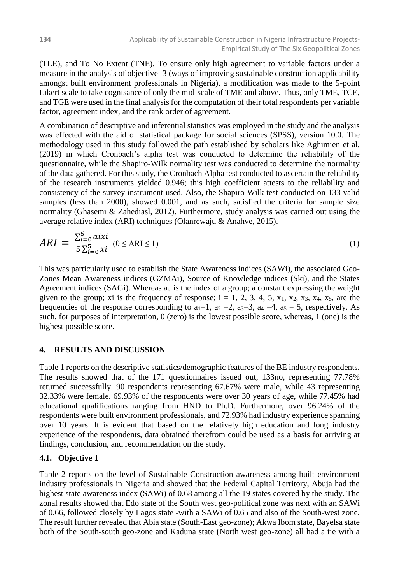(TLE), and To No Extent (TNE). To ensure only high agreement to variable factors under a measure in the analysis of objective -3 (ways of improving sustainable construction applicability amongst built environment professionals in Nigeria), a modification was made to the 5-point Likert scale to take cognisance of only the mid-scale of TME and above. Thus, only TME, TCE, and TGE were used in the final analysis for the computation of their total respondents per variable factor, agreement index, and the rank order of agreement.

A combination of descriptive and inferential statistics was employed in the study and the analysis was effected with the aid of statistical package for social sciences (SPSS), version 10.0. The methodology used in this study followed the path established by scholars like Aghimien et al. (2019) in which Cronbach's alpha test was conducted to determine the reliability of the questionnaire, while the Shapiro-Wilk normality test was conducted to determine the normality of the data gathered. For this study, the Cronbach Alpha test conducted to ascertain the reliability of the research instruments yielded 0.946; this high coefficient attests to the reliability and consistency of the survey instrument used. Also, the Shapiro-Wilk test conducted on 133 valid samples (less than 2000), showed 0.001, and as such, satisfied the criteria for sample size normality (Ghasemi & Zahediasl, 2012). Furthermore, study analysis was carried out using the average relative index (ARI) techniques (Olanrewaju & Anahve, 2015).

$$
ARI = \frac{\sum_{i=0}^{5} aixi}{5\sum_{i=0}^{5} xi} (0 \le ARI \le 1)
$$
 (1)

This was particularly used to establish the State Awareness indices (SAWi), the associated Geo-Zones Mean Awareness indices (GZMAi), Source of Knowledge indices (Ski), and the States Agreement indices (SAGi). Whereas ai, is the index of a group; a constant expressing the weight given to the group; xi is the frequency of response;  $i = 1, 2, 3, 4, 5, x_1, x_2, x_3, x_4, x_5$ , are the frequencies of the response corresponding to  $a_1=1$ ,  $a_2=2$ ,  $a_3=3$ ,  $a_4=4$ ,  $a_5=5$ , respectively. As such, for purposes of interpretation, 0 (zero) is the lowest possible score, whereas, 1 (one) is the highest possible score.

## **4. RESULTS AND DISCUSSION**

Table 1 reports on the descriptive statistics/demographic features of the BE industry respondents. The results showed that of the 171 questionnaires issued out, 133no, representing 77.78% returned successfully. 90 respondents representing 67.67% were male, while 43 representing 32.33% were female. 69.93% of the respondents were over 30 years of age, while 77.45% had educational qualifications ranging from HND to Ph.D. Furthermore, over 96.24% of the respondents were built environment professionals, and 72.93% had industry experience spanning over 10 years. It is evident that based on the relatively high education and long industry experience of the respondents, data obtained therefrom could be used as a basis for arriving at findings, conclusion, and recommendation on the study.

## **4.1. Objective 1**

Table 2 reports on the level of Sustainable Construction awareness among built environment industry professionals in Nigeria and showed that the Federal Capital Territory, Abuja had the highest state awareness index (SAWi) of 0.68 among all the 19 states covered by the study. The zonal results showed that Edo state of the South west geo-political zone was next with an SAWi of 0.66, followed closely by Lagos state -with a SAWi of 0.65 and also of the South-west zone. The result further revealed that Abia state (South-East geo-zone); Akwa Ibom state, Bayelsa state both of the South-south geo-zone and Kaduna state (North west geo-zone) all had a tie with a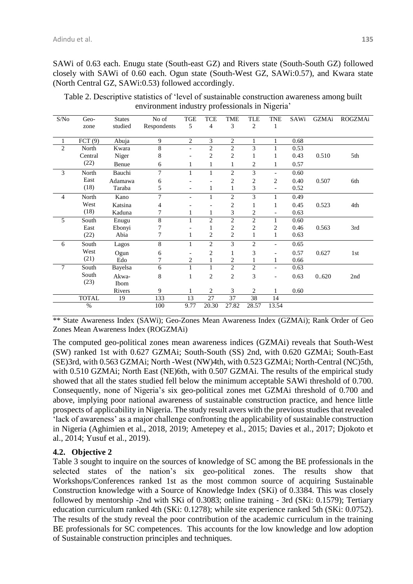SAWi of 0.63 each. Enugu state (South-east GZ) and Rivers state (South-South GZ) followed closely with SAWi of 0.60 each. Ogun state (South-West GZ, SAWi:0.57), and Kwara state (North Central GZ, SAWi:0.53) followed accordingly.

| Geo-<br>zone<br>FCT(9) | <b>States</b><br>studied             | No of<br>Respondents | TGE                      | <b>TCE</b>     | <b>TME</b>     | <b>TLE</b>                       | <b>TNE</b>                                       | <b>SAWi</b> | GZMAi | ROGZMAi |
|------------------------|--------------------------------------|----------------------|--------------------------|----------------|----------------|----------------------------------|--------------------------------------------------|-------------|-------|---------|
|                        |                                      |                      |                          |                |                |                                  |                                                  |             |       |         |
|                        |                                      |                      | 5                        | $\overline{4}$ | 3              | $\mathbf{2}$                     | 1                                                |             |       |         |
|                        | Abuja                                | 9                    | 2                        | 3              | $\mathbf{2}$   | 1                                | 1                                                | 0.68        |       |         |
| North                  | Kwara                                | 8                    | $\overline{\phantom{0}}$ | $\overline{c}$ |                |                                  | 1                                                | 0.53        |       |         |
| Central                | Niger                                | 8                    |                          | $\overline{c}$ | $\mathbf{2}$   | 1                                | 1                                                | 0.43        | 0.510 | 5th     |
|                        | Benue                                | 6                    | 1                        | $\mathbf{1}$   | 1              | $\overline{2}$                   | 1                                                | 0.57        |       |         |
| North                  | Bauchi                               | 7                    |                          | 1              | $\overline{2}$ | 3                                | $\overline{\phantom{0}}$                         | 0.60        |       |         |
| East                   | Adamawa                              | 6                    |                          |                | 2              | 2                                | 2                                                | 0.40        | 0.507 | 6th     |
| (18)                   | Taraba                               | 5                    | -                        | $\mathbf{1}$   | $\mathbf{1}$   | 3                                | $\overline{\phantom{a}}$                         | 0.52        |       |         |
| North                  | Kano                                 | 7                    | $\overline{\phantom{a}}$ | 1              | $\overline{c}$ | 3                                | 1                                                | 0.49        |       |         |
| West                   | Katsina                              | 4                    |                          |                | 2              | 1                                | 1                                                | 0.45        | 0.523 | 4th     |
|                        | Kaduna                               | 7                    | 1                        | 1              | 3              | 2                                | -                                                | 0.63        |       |         |
| South                  | Enugu                                | 8                    | 1                        | $\overline{2}$ | $\overline{2}$ | $\mathfrak{2}$                   | 1                                                | 0.60        |       |         |
| East                   | Ebonyi                               | 7                    |                          | 1              | 2              |                                  | 2                                                | 0.46        | 0.563 | 3rd     |
|                        |                                      |                      | 1                        |                |                |                                  | $\mathbf{1}$                                     |             |       |         |
| South                  | Lagos                                | 8                    | 1                        | $\overline{2}$ | 3              | $\overline{2}$                   | Ξ.                                               | 0.65        |       |         |
| West                   | Ogun                                 | 6                    |                          | 2              | 1              | 3                                |                                                  | 0.57        | 0.627 | 1st     |
|                        | Edo                                  | 7                    | 2                        | 1              | 2              | 1                                | 1                                                | 0.66        |       |         |
| South                  | Bayelsa                              | 6                    | 1                        | $\mathbf{1}$   | $\overline{2}$ | $\overline{2}$                   | $\overline{\phantom{0}}$                         | 0.63        |       |         |
| South                  | Akwa-                                | 8                    | 1                        | 2              | $\overline{c}$ | 3                                | -                                                | 0.63        | 0.620 | 2nd     |
|                        | Ibom                                 |                      |                          |                |                |                                  |                                                  |             |       |         |
|                        | Rivers                               | 9                    |                          | $\overline{c}$ | 3              | $\mathbf{2}$                     |                                                  | 0.60        |       |         |
| <b>TOTAL</b>           | 19                                   | 133                  | 13                       | 27             | 37             | 38                               | 14                                               |             |       |         |
| $\%$                   |                                      | 100                  | 9.77                     | 20.30          | 27.82          | 28.57                            | 13.54                                            |             |       |         |
|                        | (22)<br>(18)<br>(22)<br>(21)<br>(23) | Abia                 | 7                        |                | $\overline{c}$ | $\overline{2}$<br>$\overline{2}$ | $\overline{3}$<br>$\overline{c}$<br>$\mathbf{1}$ |             | 0.63  |         |

Table 2. Descriptive statistics of 'level of sustainable construction awareness among built environment industry professionals in Nigeria'

\*\* State Awareness Index (SAWi); Geo-Zones Mean Awareness Index (GZMAi); Rank Order of Geo Zones Mean Awareness Index (ROGZMAi)

The computed geo-political zones mean awareness indices (GZMAi) reveals that South-West (SW) ranked 1st with 0.627 GZMAi; South-South (SS) 2nd, with 0.620 GZMAi; South-East (SE)3rd, with 0.563 GZMAi; North -West (NW)4th, with 0.523 GZMAi; North-Central (NC)5th, with 0.510 GZMAi; North East (NE)6th, with 0.507 GZMAi. The results of the empirical study showed that all the states studied fell below the minimum acceptable SAWi threshold of 0.700. Consequently, none of Nigeria's six geo-political zones met GZMAi threshold of 0.700 and above, implying poor national awareness of sustainable construction practice, and hence little prospects of applicability in Nigeria. The study result avers with the previous studies that revealed 'lack of awareness' as a major challenge confronting the applicability of sustainable construction in Nigeria (Aghimien et al., 2018, 2019; Ametepey et al., 2015; Davies et al., 2017; Djokoto et al., 2014; Yusuf et al., 2019).

#### **4.2. Objective 2**

Table 3 sought to inquire on the sources of knowledge of SC among the BE professionals in the selected states of the nation's six geo-political zones. The results show that Workshops/Conferences ranked 1st as the most common source of acquiring Sustainable Construction knowledge with a Source of Knowledge Index (SKi) of 0.3384. This was closely followed by mentorship -2nd with SKi of 0.3083; online training - 3rd (SKi: 0.1579); Tertiary education curriculum ranked 4th (SKi: 0.1278); while site experience ranked 5th (SKi: 0.0752). The results of the study reveal the poor contribution of the academic curriculum in the training BE professionals for SC competences. This accounts for the low knowledge and low adoption of Sustainable construction principles and techniques.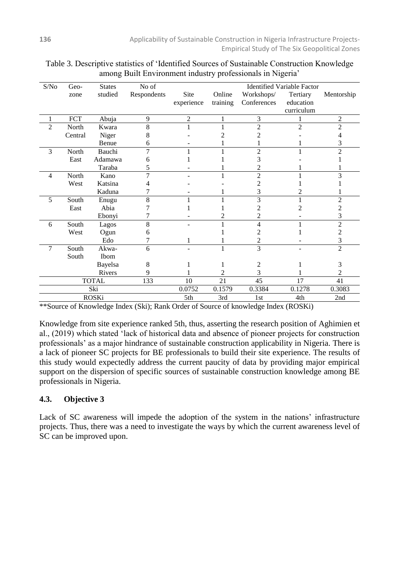|                |            |               | No of       | <b>Identified Variable Factor</b> |          |                           |                       |                |  |  |
|----------------|------------|---------------|-------------|-----------------------------------|----------|---------------------------|-----------------------|----------------|--|--|
| S/No           | Geo-       | <b>States</b> |             |                                   |          |                           |                       |                |  |  |
|                | zone       | studied       | Respondents | Site                              | Online   | Workshops/<br>Conferences | Tertiary<br>education | Mentorship     |  |  |
|                |            |               |             | experience                        | training |                           | curriculum            |                |  |  |
|                |            |               |             |                                   |          |                           |                       |                |  |  |
| 1              | <b>FCT</b> | Abuja         | 9           | $\overline{2}$                    | 1        | 3                         | 1                     | $\overline{2}$ |  |  |
| $\overline{2}$ | North      | Kwara         | 8           |                                   |          | $\overline{2}$            | $\overline{c}$        | 2              |  |  |
|                | Central    | Niger         | 8           |                                   |          | 2                         |                       | 4              |  |  |
|                |            | Benue         | 6           |                                   |          |                           |                       | 3              |  |  |
| 3              | North      | Bauchi        | 7           |                                   |          | $\overline{2}$            |                       | $\overline{2}$ |  |  |
|                | East       | Adamawa       | 6           |                                   |          | 3                         |                       |                |  |  |
|                |            | Taraba        | 5           |                                   |          | 2                         |                       |                |  |  |
| $\overline{4}$ | North      | Kano          | 7           |                                   |          | $\overline{c}$            |                       | 3              |  |  |
|                | West       | Katsina       |             |                                   |          | 2                         |                       |                |  |  |
|                |            | Kaduna        |             |                                   |          | 3                         |                       |                |  |  |
| 5              | South      | Enugu         | 8           |                                   |          | 3                         |                       | $\overline{2}$ |  |  |
|                | East       | Abia          |             |                                   |          | 2                         |                       | $\overline{c}$ |  |  |
|                |            | Ebonyi        |             |                                   |          | 2                         |                       | 3              |  |  |
| 6              | South      | Lagos         | 8           |                                   |          | 4                         |                       | $\overline{c}$ |  |  |
|                | West       | Ogun          | 6           |                                   |          | 2                         |                       | $\overline{c}$ |  |  |
|                |            | Edo           |             | 1                                 |          | 2                         |                       | 3              |  |  |
| $\overline{7}$ | South      | Akwa-         | 6           |                                   | 1        | $\overline{3}$            |                       | $\overline{2}$ |  |  |
|                | South      | Ibom          |             |                                   |          |                           |                       |                |  |  |
|                |            | Bayelsa       | 8           |                                   |          | 2                         |                       | 3              |  |  |
|                |            | Rivers        | 9           |                                   | 2        | 3                         |                       | 2              |  |  |
|                |            | <b>TOTAL</b>  | 133         | 10                                | 21       | 45                        | 17                    | 41             |  |  |
|                |            | Ski           |             | 0.0752                            | 0.1579   | 0.3384                    | 0.1278                | 0.3083         |  |  |
|                |            | <b>ROSKi</b>  |             | 5th                               | 3rd      | 1st                       | 4th                   | 2nd            |  |  |

#### Table 3. Descriptive statistics of 'Identified Sources of Sustainable Construction Knowledge among Built Environment industry professionals in Nigeria'

\*\*Source of Knowledge Index (Ski); Rank Order of Source of knowledge Index (ROSKi)

Knowledge from site experience ranked 5th, thus, asserting the research position of Aghimien et al., (2019) which stated 'lack of historical data and absence of pioneer projects for construction professionals' as a major hindrance of sustainable construction applicability in Nigeria. There is a lack of pioneer SC projects for BE professionals to build their site experience. The results of this study would expectedly address the current paucity of data by providing major empirical support on the dispersion of specific sources of sustainable construction knowledge among BE professionals in Nigeria.

# **4.3. Objective 3**

Lack of SC awareness will impede the adoption of the system in the nations' infrastructure projects. Thus, there was a need to investigate the ways by which the current awareness level of SC can be improved upon.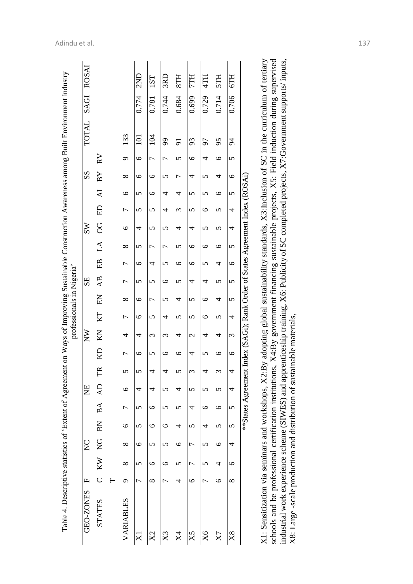|                                                                                                                                                  | <b>ROSAI</b>     |                |                |             |                | 3RD            |                |               |         |         |                |                                                                               |
|--------------------------------------------------------------------------------------------------------------------------------------------------|------------------|----------------|----------------|-------------|----------------|----------------|----------------|---------------|---------|---------|----------------|-------------------------------------------------------------------------------|
|                                                                                                                                                  |                  |                |                | 2ND         | 1ST            |                | $_{\rm STH}$   | <b>TTH</b>    | 4TH     | 5TH     | 6TH            |                                                                               |
|                                                                                                                                                  | <b>SAGI</b>      |                |                | 0.774       | 0.781          | 0.744          | 0.684          | 0.699         | 0.729   | 0.714   | 0.706          |                                                                               |
|                                                                                                                                                  | <b>TOTAL</b>     |                | 133            |             | 104            |                |                |               |         |         |                |                                                                               |
| Table 4. Descriptive statistics of 'Extent of Agreement on Ways of Improving Sustainable Construction Awareness among Built Environment industry |                  |                |                | 101         |                | 99             | 51             | 93            | 56      | 95      | $\overline{6}$ |                                                                               |
|                                                                                                                                                  |                  | $\overline{R}$ | $\circ$        | $\circ$     | $\overline{C}$ | $\overline{ }$ | $\mathbf{v}$   | $\circ$       | 4       | $\circ$ | $\overline{5}$ |                                                                               |
|                                                                                                                                                  | SS               | $_{\rm BY}$    | $\infty$       | ৩           | $\circ$        | 5              | $\overline{ }$ | 4             | 5       | 4       | $\circ$        |                                                                               |
|                                                                                                                                                  |                  | $\overline{M}$ | $\circ$        | 5           | $\circ$        | 4              | 4              | 5             | 5       | $\circ$ | 5              |                                                                               |
|                                                                                                                                                  |                  | E              | $\overline{C}$ | 5           | 5              | 4              | 3              | 5             | $\circ$ | 5       | 4              |                                                                               |
|                                                                                                                                                  | SSW              | 8              | $\circ$        | 4           | 5              | 5              | 4              | 4             | 5       | 5       | 4              |                                                                               |
| professionals in Nigeria'                                                                                                                        |                  | $\mathbb A$    | $\infty$       | 5           | Γ              | Γ              | 5              | $\circ$       | $\circ$ | $\circ$ | 5              |                                                                               |
|                                                                                                                                                  |                  | EB             | 7              | ৩           | 4              | 5              | $\circ$        | $\circ$       | 5       | 4       | $\circ$        |                                                                               |
|                                                                                                                                                  | SE               | AB             | $\overline{C}$ | 5           | 5              | $\circ$        | 5              | 4             | 4       | 5       | 5              | **States Agreement Index (SAGi); Rank Order of States Agreement Index (ROSAi) |
|                                                                                                                                                  |                  | EN             | $\infty$       | ৩           | ┌              | 5              | 4              | 5             | $\circ$ | 4       | 5              |                                                                               |
|                                                                                                                                                  |                  | $K\Gamma$      | $\overline{ }$ | ৩           | 5              | 4              | 5              | 5             | $\circ$ | 5       | 4              |                                                                               |
|                                                                                                                                                  | $\sum_{i=1}^{n}$ | KN             | 4              | 4           | 3              | 3              | 4              | $\mathcal{C}$ | 4       | 4       | ξ              |                                                                               |
|                                                                                                                                                  |                  | Я              | $\overline{ }$ | ৩           | 5              | ৩              | $\circ$        | 4             | 5       | $\circ$ | $\circ$        |                                                                               |
|                                                                                                                                                  |                  | E              |                |             |                |                |                | O,            |         |         |                |                                                                               |
|                                                                                                                                                  | Ë                | $\mathsf{R}$   | ৩              | 4           | 4              | 5              | 4              | 5             | 5       | 5       | 4              |                                                                               |
|                                                                                                                                                  |                  | BA             | $\overline{ }$ | 5           | $\circ$        | 5              | 5              | 4             | $\circ$ | $\circ$ | 5              |                                                                               |
|                                                                                                                                                  |                  | BN             | $\circ$        | 5           | $\circ$        | $\circ$        | 4              | 5             | 4       | 5       | 5              |                                                                               |
|                                                                                                                                                  | $\sum_{i=1}^{n}$ | $\overline{S}$ | $\infty$       | ৩           | 5              | 5              | $\circ$        | L             | 5       | $\circ$ | 4              |                                                                               |
|                                                                                                                                                  |                  | KW             | ∞              | 5           | ৩              | $\circ$        | 5              | ᠵ             | 5       | 4       | ৩              |                                                                               |
|                                                                                                                                                  | $\mathbf{L}$     | $\cup$         | ᢒ              | ᡕ           | $\infty$       | 冖              | 4              | $\circ$       | 冖       | $\circ$ | ∞              |                                                                               |
|                                                                                                                                                  | GEO-ZONES        | <b>STATES</b>  | VARIABLES      | $\boxtimes$ | X <sup>2</sup> | X <sub>3</sub> | X <sub>4</sub> | X5            | X6      | X7      | X8             |                                                                               |

schools and be professional certification institutions, X4:By government financing sustainable projects, X5: Field induction during supervised industrial work experience scheme (SIWES) and apprenticeship training, X6: Publ X1: Sensitization via seminars and workshops, X2:By adopting global sustainability standards, X3:Inclusion of SC in the curriculum of tertiary X1: Sensitization via seminars and workshops, X2:By adopting global sustainability standards, X3:Inclusion of SC in the curriculum of tertiary schools and be professional certification institutions, X4:By government financing sustainable projects, X5: Field induction during supervised industrial work experience scheme (SIWES) and apprenticeship training, X6: Publicity of SC completed projects, X7:Government supports/ inputs, X8: Large -scale production and distribution of sustainable materials, X8: Large-scale production and distribution of sustainable materials,

#### Adindu et al. 137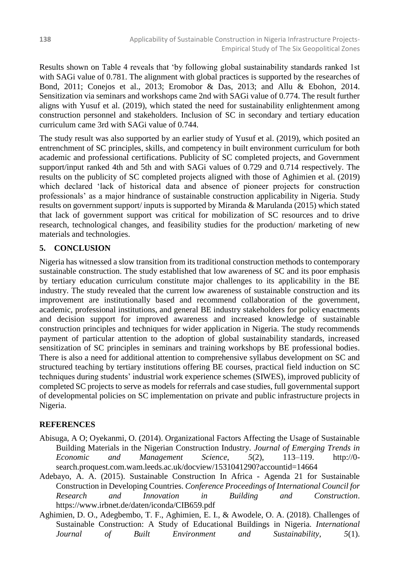Results shown on Table 4 reveals that 'by following global sustainability standards ranked 1st with SAGi value of 0.781. The alignment with global practices is supported by the researches of Bond, 2011; Conejos et al., 2013; Eromobor & Das, 2013; and Allu & Ebohon, 2014. Sensitization via seminars and workshops came 2nd with SAGi value of 0.774. The result further aligns with Yusuf et al. (2019), which stated the need for sustainability enlightenment among construction personnel and stakeholders. Inclusion of SC in secondary and tertiary education curriculum came 3rd with SAGi value of 0.744.

The study result was also supported by an earlier study of Yusuf et al. (2019), which posited an entrenchment of SC principles, skills, and competency in built environment curriculum for both academic and professional certifications. Publicity of SC completed projects, and Government support/input ranked 4th and 5th and with SAGi values of 0.729 and 0.714 respectively. The results on the publicity of SC completed projects aligned with those of Aghimien et al. (2019) which declared 'lack of historical data and absence of pioneer projects for construction professionals' as a major hindrance of sustainable construction applicability in Nigeria. Study results on government support/ inputs is supported by Miranda & Marulanda (2015) which stated that lack of government support was critical for mobilization of SC resources and to drive research, technological changes, and feasibility studies for the production/ marketing of new materials and technologies.

## **5. CONCLUSION**

Nigeria has witnessed a slow transition from its traditional construction methods to contemporary sustainable construction. The study established that low awareness of SC and its poor emphasis by tertiary education curriculum constitute major challenges to its applicability in the BE industry. The study revealed that the current low awareness of sustainable construction and its improvement are institutionally based and recommend collaboration of the government, academic, professional institutions, and general BE industry stakeholders for policy enactments and decision support for improved awareness and increased knowledge of sustainable construction principles and techniques for wider application in Nigeria. The study recommends payment of particular attention to the adoption of global sustainability standards, increased sensitization of SC principles in seminars and training workshops by BE professional bodies. There is also a need for additional attention to comprehensive syllabus development on SC and structured teaching by tertiary institutions offering BE courses, practical field induction on SC techniques during students' industrial work experience schemes (SIWES), improved publicity of completed SC projects to serve as models for referrals and case studies, full governmental support of developmental policies on SC implementation on private and public infrastructure projects in Nigeria.

#### **REFERENCES**

- Abisuga, A O; Oyekanmi, O. (2014). Organizational Factors Affecting the Usage of Sustainable Building Materials in the Nigerian Construction Industry. *Journal of Emerging Trends in Economic and Management Science*, *5*(2), 113–119. http://0 search.proquest.com.wam.leeds.ac.uk/docview/1531041290?accountid=14664
- Adebayo, A. A. (2015). Sustainable Construction In Africa Agenda 21 for Sustainable Construction in Developing Countries. *Conference Proceedings of International Council for Research and Innovation in Building and Construction*. https://www.irbnet.de/daten/iconda/CIB659.pdf
- Aghimien, D. O., Adegbembo, T. F., Aghimien, E. I., & Awodele, O. A. (2018). Challenges of Sustainable Construction: A Study of Educational Buildings in Nigeria. *International Journal of Built Environment and Sustainability*, *5*(1).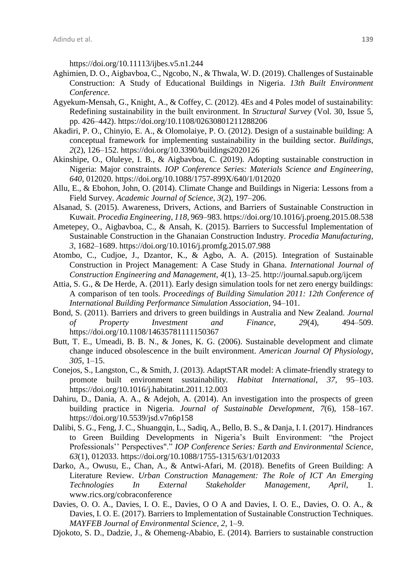https://doi.org/10.11113/ijbes.v5.n1.244

- Aghimien, D. O., Aigbavboa, C., Ngcobo, N., & Thwala, W. D. (2019). Challenges of Sustainable Construction: A Study of Educational Buildings in Nigeria. *13th Built Environment Conference*.
- Agyekum-Mensah, G., Knight, A., & Coffey, C. (2012). 4Es and 4 Poles model of sustainability: Redefining sustainability in the built environment. In *Structural Survey* (Vol. 30, Issue 5, pp. 426–442). https://doi.org/10.1108/02630801211288206
- Akadiri, P. O., Chinyio, E. A., & Olomolaiye, P. O. (2012). Design of a sustainable building: A conceptual framework for implementing sustainability in the building sector. *Buildings*, *2*(2), 126–152. https://doi.org/10.3390/buildings2020126
- Akinshipe, O., Oluleye, I. B., & Aigbavboa, C. (2019). Adopting sustainable construction in Nigeria: Major constraints. *IOP Conference Series: Materials Science and Engineering*, *640*, 012020. https://doi.org/10.1088/1757-899X/640/1/012020
- Allu, E., & Ebohon, John, O. (2014). Climate Change and Buildings in Nigeria: Lessons from a Field Survey. *Academic Journal of Science*, *3*(2), 197–206.
- Alsanad, S. (2015). Awareness, Drivers, Actions, and Barriers of Sustainable Construction in Kuwait. *Procedia Engineering*, *118*, 969–983. https://doi.org/10.1016/j.proeng.2015.08.538
- Ametepey, O., Aigbavboa, C., & Ansah, K. (2015). Barriers to Successful Implementation of Sustainable Construction in the Ghanaian Construction Industry. *Procedia Manufacturing*, *3*, 1682–1689. https://doi.org/10.1016/j.promfg.2015.07.988
- Atombo, C., Cudjoe, J., Dzantor, K., & Agbo, A. A. (2015). Integration of Sustainable Construction in Project Management: A Case Study in Ghana. *International Journal of Construction Engineering and Management*, *4*(1), 13–25. http://journal.sapub.org/ijcem
- Attia, S. G., & De Herde, A. (2011). Early design simulation tools for net zero energy buildings: A comparison of ten tools. *Proceedings of Building Simulation 2011: 12th Conference of International Building Performance Simulation Association*, 94–101.
- Bond, S. (2011). Barriers and drivers to green buildings in Australia and New Zealand. *Journal of Property Investment and Finance*, *29*(4), 494–509. https://doi.org/10.1108/14635781111150367
- Butt, T. E., Umeadi, B. B. N., & Jones, K. G. (2006). Sustainable development and climate change induced obsolescence in the built environment. *American Journal Of Physiology*, *305*, 1–15.
- Conejos, S., Langston, C., & Smith, J. (2013). AdaptSTAR model: A climate-friendly strategy to promote built environment sustainability. *Habitat International*, *37*, 95–103. https://doi.org/10.1016/j.habitatint.2011.12.003
- Dahiru, D., Dania, A. A., & Adejoh, A. (2014). An investigation into the prospects of green building practice in Nigeria. *Journal of Sustainable Development*, *7*(6), 158–167. https://doi.org/10.5539/jsd.v7n6p158
- Dalibi, S. G., Feng, J. C., Shuangqin, L., Sadiq, A., Bello, B. S., & Danja, I. I. (2017). Hindrances to Green Building Developments in Nigeria's Built Environment: "the Project Professionals'' Perspectives"." *IOP Conference Series: Earth and Environmental Science*, *63*(1), 012033. https://doi.org/10.1088/1755-1315/63/1/012033
- Darko, A., Owusu, E., Chan, A., & Antwi-Afari, M. (2018). Benefits of Green Building: A Literature Review. *Urban Construction Management: The Role of ICT An Emerging Technologies In External Stakeholder Management*, *April*, 1. www.rics.org/cobraconference
- Davies, O. O. A., Davies, I. O. E., Davies, O O A and Davies, I. O. E., Davies, O. O. A., & Davies, I. O. E. (2017). Barriers to Implementation of Sustainable Construction Techniques. *MAYFEB Journal of Environmental Science*, *2*, 1–9.
- Djokoto, S. D., Dadzie, J., & Ohemeng-Ababio, E. (2014). Barriers to sustainable construction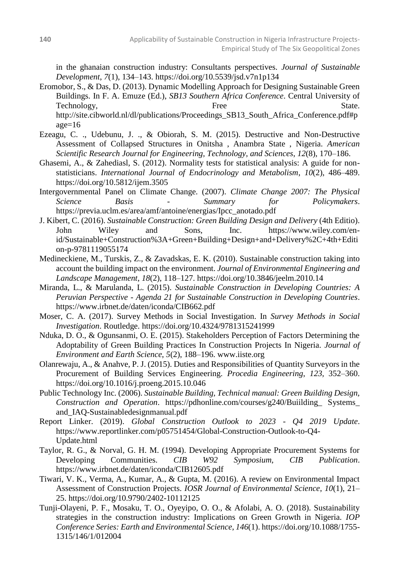in the ghanaian construction industry: Consultants perspectives. *Journal of Sustainable Development*, *7*(1), 134–143. https://doi.org/10.5539/jsd.v7n1p134

- Eromobor, S., & Das, D. (2013). Dynamic Modelling Approach for Designing Sustainable Green Buildings. In F. A. Emuze (Ed.), *SB13 Southern Africa Conference*. Central University of Technology, State State. http://site.cibworld.nl/dl/publications/Proceedings\_SB13\_South\_Africa\_Conference.pdf#p age=16
- Ezeagu, C. ., Udebunu, J. ., & Obiorah, S. M. (2015). Destructive and Non-Destructive Assessment of Collapsed Structures in Onitsha , Anambra State , Nigeria. *American Scientific Research Journal for Engineering, Technology, and Sciences*, *12*(8), 170–186.
- Ghasemi, A., & Zahediasl, S. (2012). Normality tests for statistical analysis: A guide for nonstatisticians. *International Journal of Endocrinology and Metabolism*, *10*(2), 486–489. https://doi.org/10.5812/ijem.3505
- Intergovernmental Panel on Climate Change. (2007). *Climate Change 2007: The Physical Science Basis - Summary for Policymakers*. https://previa.uclm.es/area/amf/antoine/energias/Ipcc\_anotado.pdf
- J. Kibert, C. (2016). *Sustainable Construction: Green Building Design and Delivery* (4th Editio). John Wiley and Sons, Inc. https://www.wiley.com/enid/Sustainable+Construction%3A+Green+Building+Design+and+Delivery%2C+4th+Editi on-p-9781119055174
- Medineckiene, M., Turskis, Z., & Zavadskas, E. K. (2010). Sustainable construction taking into account the building impact on the environment. *Journal of Environmental Engineering and Landscape Management*, *18*(2), 118–127. https://doi.org/10.3846/jeelm.2010.14
- Miranda, L., & Marulanda, L. (2015). *Sustainable Construction in Developing Countries: A Peruvian Perspective - Agenda 21 for Sustainable Construction in Developing Countries*. https://www.irbnet.de/daten/iconda/CIB662.pdf
- Moser, C. A. (2017). Survey Methods in Social Investigation. In *Survey Methods in Social Investigation*. Routledge. https://doi.org/10.4324/9781315241999
- Nduka, D. O., & Ogunsanmi, O. E. (2015). Stakeholders Perception of Factors Determining the Adoptability of Green Building Practices In Construction Projects In Nigeria. *Journal of Environment and Earth Science*, *5*(2), 188–196. www.iiste.org
- Olanrewaju, A., & Anahve, P. J. (2015). Duties and Responsibilities of Quantity Surveyors in the Procurement of Building Services Engineering. *Procedia Engineering*, *123*, 352–360. https://doi.org/10.1016/j.proeng.2015.10.046
- Public Technology Inc. (2006). *Sustainable Building, Technical manual: Green Building Design, Construction and Operation*. https://pdhonline.com/courses/g240/Buiilding\_ Systems\_ and\_IAQ-Sustainabledesignmanual.pdf
- Report Linker. (2019). *Global Construction Outlook to 2023 - Q4 2019 Update*. https://www.reportlinker.com/p05751454/Global-Construction-Outlook-to-Q4- Update.html
- Taylor, R. G., & Norval, G. H. M. (1994). Developing Appropriate Procurement Systems for Developing Communities. *CIB W92 Symposium, CIB Publication*. https://www.irbnet.de/daten/iconda/CIB12605.pdf
- Tiwari, V. K., Verma, A., Kumar, A., & Gupta, M. (2016). A review on Environmental Impact Assessment of Construction Projects. *IOSR Journal of Environmental Science*, *10*(1), 21– 25. https://doi.org/10.9790/2402-10112125
- Tunji-Olayeni, P. F., Mosaku, T. O., Oyeyipo, O. O., & Afolabi, A. O. (2018). Sustainability strategies in the construction industry: Implications on Green Growth in Nigeria. *IOP Conference Series: Earth and Environmental Science*, *146*(1). https://doi.org/10.1088/1755- 1315/146/1/012004